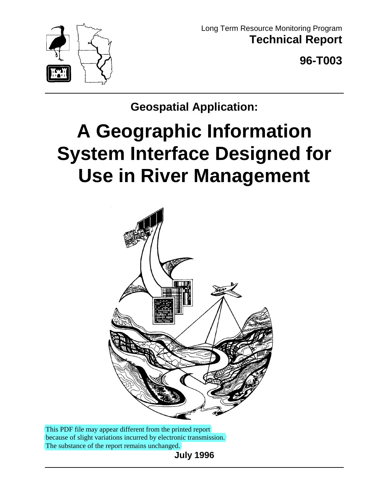

Long Term Resource Monitoring Program **Technical Report**

**96-T003**

**Geospatial Application:**

# **A Geographic Information System Interface Designed for Use in River Management**



This PDF file may appear different from the printed report because of slight variations incurred by electronic transmission. The substance of the report remains unchanged.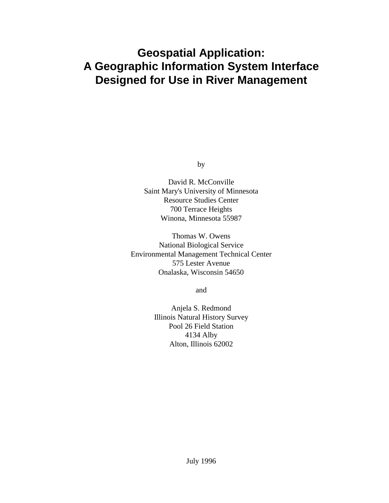# **Geospatial Application: A Geographic Information System Interface Designed for Use in River Management**

by

David R. McConville Saint Mary's University of Minnesota Resource Studies Center 700 Terrace Heights Winona, Minnesota 55987

Thomas W. Owens National Biological Service Environmental Management Technical Center 575 Lester Avenue Onalaska, Wisconsin 54650

and

Anjela S. Redmond Illinois Natural History Survey Pool 26 Field Station 4134 Alby Alton, Illinois 62002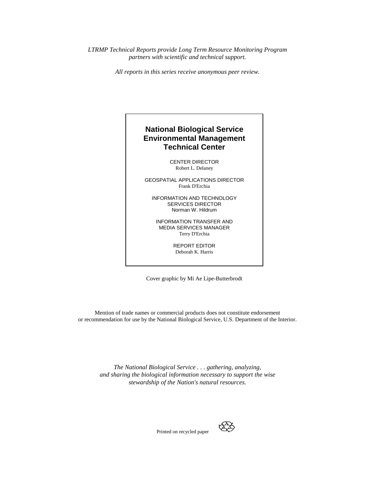*LTRMP Technical Reports provide Long Term Resource Monitoring Program partners with scientific and technical support.*

*All reports in this series receive anonymous peer review.*

#### **National Biological Service Environmental Management Technical Center**

CENTER DIRECTOR Robert L. Delaney

GEOSPATIAL APPLICATIONS DIRECTOR Frank D'Erchia

INFORMATION AND TECHNOLOGY SERVICES DIRECTOR Norman W. Hildrum

INFORMATION TRANSFER AND MEDIA SERVICES MANAGER Terry D'Erchia

> REPORT EDITOR Deborah K. Harris

Cover graphic by Mi Ae Lipe-Butterbrodt

Mention of trade names or commercial products does not constitute endorsement or recommendation for use by the National Biological Service, U.S. Department of the Interior.

*The National Biological Service . . . gathering, analyzing, and sharing the biological information necessary to support the wise stewardship of the Nation's natural resources.*



Printed on recycled paper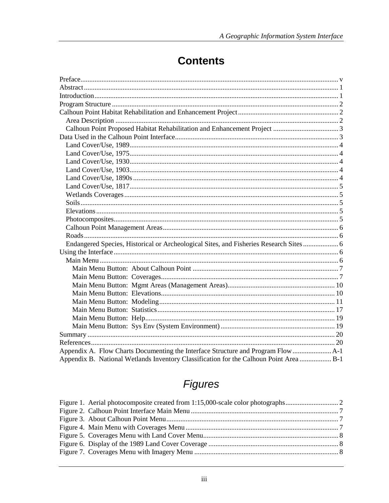# **Contents**

| Endangered Species, Historical or Archeological Sites, and Fisheries Research Sites  6 |  |
|----------------------------------------------------------------------------------------|--|
|                                                                                        |  |
|                                                                                        |  |
|                                                                                        |  |
|                                                                                        |  |
|                                                                                        |  |
|                                                                                        |  |
|                                                                                        |  |
|                                                                                        |  |
|                                                                                        |  |
|                                                                                        |  |
|                                                                                        |  |
|                                                                                        |  |
| Appendix A. Flow Charts Documenting the Interface Structure and Program Flow           |  |
| Appendix B. National Wetlands Inventory Classification for the Calhoun Point Area  B-1 |  |

# **Figures**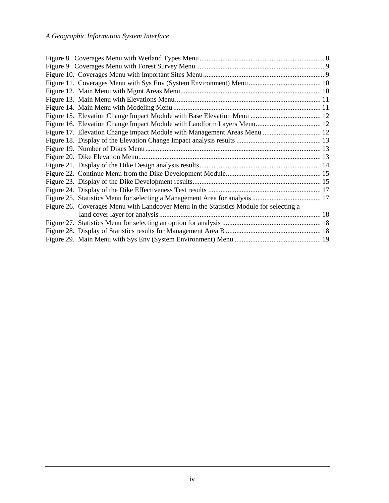| Figure 26. Coverages Menu with Landcover Menu in the Statistics Module for selecting a |  |
|----------------------------------------------------------------------------------------|--|
|                                                                                        |  |
|                                                                                        |  |
|                                                                                        |  |
|                                                                                        |  |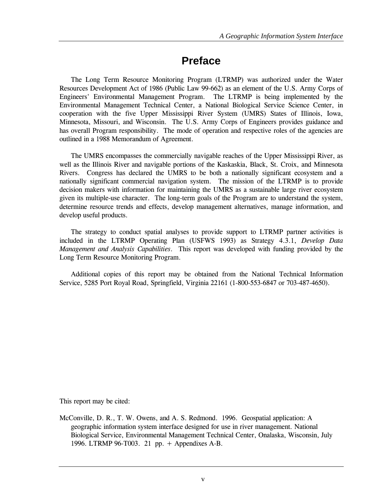# **Preface**

The Long Term Resource Monitoring Program (LTRMP) was authorized under the Water Resources Development Act of 1986 (Public Law 99-662) as an element of the U.S. Army Corps of Engineers' Environmental Management Program. The LTRMP is being implemented by the Environmental Management Technical Center, a National Biological Service Science Center, in cooperation with the five Upper Mississippi River System (UMRS) States of Illinois, Iowa, Minnesota, Missouri, and Wisconsin. The U.S. Army Corps of Engineers provides guidance and has overall Program responsibility. The mode of operation and respective roles of the agencies are outlined in a 1988 Memorandum of Agreement.

The UMRS encompasses the commercially navigable reaches of the Upper Mississippi River, as well as the Illinois River and navigable portions of the Kaskaskia, Black, St. Croix, and Minnesota Rivers. Congress has declared the UMRS to be both a nationally significant ecosystem and a nationally significant commercial navigation system. The mission of the LTRMP is to provide decision makers with information for maintaining the UMRS as a sustainable large river ecosystem given its multiple-use character. The long-term goals of the Program are to understand the system, determine resource trends and effects, develop management alternatives, manage information, and develop useful products.

The strategy to conduct spatial analyses to provide support to LTRMP partner activities is included in the LTRMP Operating Plan (USFWS 1993) as Strategy 4.3.1, Develop Data *Management and Analysis Capabilities*. This report was developed with funding provided by the Long Term Resource Monitoring Program.

Additional copies of this report may be obtained from the National Technical Information Service, 5285 Port Royal Road, Springfield, Virginia 22161 (1-800-553-6847 or 703-487-4650).

This report may be cited:

McConville, D. R., T. W. Owens, and A. S. Redmond. 1996. Geospatial application: A geographic information system interface designed for use in river management. National Biological Service, Environmental Management Technical Center, Onalaska, Wisconsin, July 1996. LTRMP 96-T003. 21 pp.  $+$  Appendixes A-B.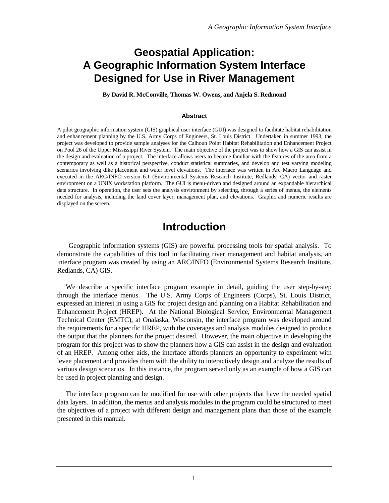# **Geospatial Application: A Geographic Information System Interface Designed for Use in River Management**

**By David R. McConville, Thomas W. Owens, and Anjela S. Redmond**

#### **Abstract**

A pilot geographic information system (GIS) graphical user interface (GUI) was designed to facilitate habitat rehabilitation and enhancement planning by the U.S. Army Corps of Engineers, St. Louis District. Undertaken in summer 1993, the project was developed to provide sample analyses for the Calhoun Point Habitat Rehabilitation and Enhancement Project on Pool 26 of the Upper Mississippi River System. The main objective of the project was to show how a GIS can assist in the design and evaluation of a project. The interface allows users to become familiar with the features of the area from a contemporary as well as a historical perspective, conduct statistical summaries, and develop and test varying modeling scenarios involving dike placement and water level elevations. The interface was written in Arc Macro Language and executed in the ARC/INFO version 6.1 (Environmental Systems Research Institute, Redlands, CA) vector and raster environment on a UNIX workstation platform. The GUI is menu-driven and designed around an expandable hierarchical data structure. In operation, the user sets the analysis environment by selecting, through a series of menus, the elements needed for analysis, including the land cover layer, management plan, and elevations. Graphic and numeric results are displayed on the screen.

## **Introduction**

Geographic information systems (GIS) are powerful processing tools for spatial analysis. To demonstrate the capabilities of this tool in facilitating river management and habitat analysis, an interface program was created by using an ARC/INFO (Environmental Systems Research Institute, Redlands, CA) GIS.

We describe a specific interface program example in detail, guiding the user step-by-step through the interface menus. The U.S. Army Corps of Engineers (Corps), St. Louis District, expressed an interest in using a GIS for project design and planning on a Habitat Rehabilitation and Enhancement Project (HREP). At the National Biological Service, Environmental Management Technical Center (EMTC), at Onalaska, Wisconsin, the interface program was developed around the requirements for a specific HREP, with the coverages and analysis modules designed to produce the output that the planners for the project desired. However, the main objective in developing the program for this project was to show the planners how a GIS can assist in the design and evaluation of an HREP. Among other aids, the interface affords planners an opportunity to experiment with levee placement and provides them with the ability to interactively design and analyze the results of various design scenarios. In this instance, the program served only as an example of how a GIS can be used in project planning and design.

The interface program can be modified for use with other projects that have the needed spatial data layers. In addition, the menus and analysis modules in the program could be structured to meet the objectives of a project with different design and management plans than those of the example presented in this manual.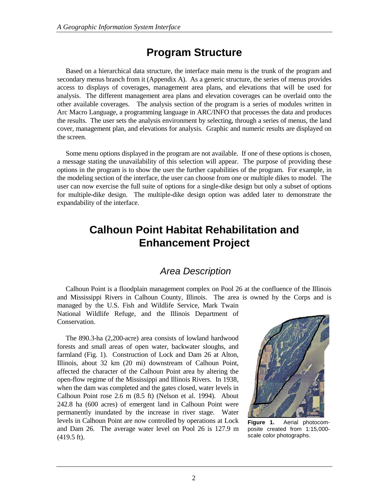# **Program Structure**

Based on a hierarchical data structure, the interface main menu is the trunk of the program and secondary menus branch from it (Appendix A). As a generic structure, the series of menus provides access to displays of coverages, management area plans, and elevations that will be used for analysis. The different management area plans and elevation coverages can be overlaid onto the other available coverages. The analysis section of the program is a series of modules written in Arc Macro Language, a programming language in ARC/INFO that processes the data and produces the results. The user sets the analysis environment by selecting, through a series of menus, the land cover, management plan, and elevations for analysis. Graphic and numeric results are displayed on the screen.

Some menu options displayed in the program are not available. If one of these options is chosen, a message stating the unavailability of this selection will appear. The purpose of providing these options in the program is to show the user the further capabilities of the program. For example, in the modeling section of the interface, the user can choose from one or multiple dikes to model. The user can now exercise the full suite of options for a single-dike design but only a subset of options for multiple-dike design. The multiple-dike design option was added later to demonstrate the expandability of the interface.

# **Calhoun Point Habitat Rehabilitation and Enhancement Project**

## *Area Description*

Calhoun Point is a floodplain management complex on Pool 26 at the confluence of the Illinois and Mississippi Rivers in Calhoun County, Illinois. The area is owned by the Corps and is managed by the U.S. Fish and Wildlife Service, Mark Twain National Wildlife Refuge, and the Illinois Department of Conservation.

The 890.3-ha (2,200-acre) area consists of lowland hardwood forests and small areas of open water, backwater sloughs, and farmland (Fig. 1). Construction of Lock and Dam 26 at Alton, Illinois, about 32 km (20 mi) downstream of Calhoun Point, affected the character of the Calhoun Point area by altering the open-flow regime of the Mississippi and Illinois Rivers. In 1938, when the dam was completed and the gates closed, water levels in Calhoun Point rose 2.6 m (8.5 ft) (Nelson et al. 1994). About 242.8 ha (600 acres) of emergent land in Calhoun Point were permanently inundated by the increase in river stage. Water levels in Calhoun Point are now controlled by operations at Lock and Dam 26. The average water level on Pool 26 is 127.9 m (419.5 ft).



**Figure 1.** Aerial photocomposite created from 1:15,000 scale color photographs.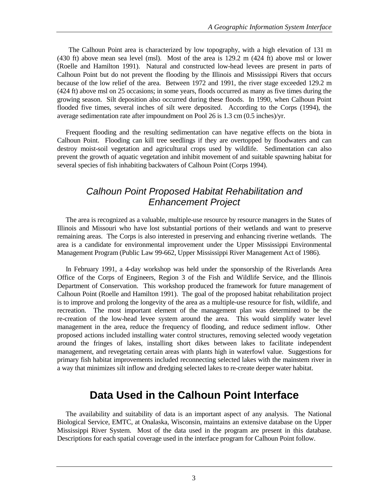The Calhoun Point area is characterized by low topography, with a high elevation of 131 m (430 ft) above mean sea level (msl). Most of the area is 129.2 m (424 ft) above msl or lower (Roelle and Hamilton 1991). Natural and constructed low-head levees are present in parts of Calhoun Point but do not prevent the flooding by the Illinois and Mississippi Rivers that occurs because of the low relief of the area. Between 1972 and 1991, the river stage exceeded 129.2 m (424 ft) above msl on 25 occasions; in some years, floods occurred as many as five times during the growing season. Silt deposition also occurred during these floods. In 1990, when Calhoun Point flooded five times, several inches of silt were deposited. According to the Corps (1994), the average sedimentation rate after impoundment on Pool 26 is 1.3 cm (0.5 inches)/yr.

Frequent flooding and the resulting sedimentation can have negative effects on the biota in Calhoun Point. Flooding can kill tree seedlings if they are overtopped by floodwaters and can destroy moist-soil vegetation and agricultural crops used by wildlife. Sedimentation can also prevent the growth of aquatic vegetation and inhibit movement of and suitable spawning habitat for several species of fish inhabiting backwaters of Calhoun Point (Corps 1994).

## *Calhoun Point Proposed Habitat Rehabilitation and Enhancement Project*

The area is recognized as a valuable, multiple-use resource by resource managers in the States of Illinois and Missouri who have lost substantial portions of their wetlands and want to preserve remaining areas. The Corps is also interested in preserving and enhancing riverine wetlands. The area is a candidate for environmental improvement under the Upper Mississippi Environmental Management Program (Public Law 99-662, Upper Mississippi River Management Act of 1986).

In February 1991, a 4-day workshop was held under the sponsorship of the Riverlands Area Office of the Corps of Engineers, Region 3 of the Fish and Wildlife Service, and the Illinois Department of Conservation. This workshop produced the framework for future management of Calhoun Point (Roelle and Hamilton 1991). The goal of the proposed habitat rehabilitation project is to improve and prolong the longevity of the area as a multiple-use resource for fish, wildlife, and recreation. The most important element of the management plan was determined to be the re-creation of the low-head levee system around the area. This would simplify water level management in the area, reduce the frequency of flooding, and reduce sediment inflow. Other proposed actions included installing water control structures, removing selected woody vegetation around the fringes of lakes, installing short dikes between lakes to facilitate independent management, and revegetating certain areas with plants high in waterfowl value. Suggestions for primary fish habitat improvements included reconnecting selected lakes with the mainstem river in a way that minimizes silt inflow and dredging selected lakes to re-create deeper water habitat.

# **Data Used in the Calhoun Point Interface**

The availability and suitability of data is an important aspect of any analysis. The National Biological Service, EMTC, at Onalaska, Wisconsin, maintains an extensive database on the Upper Mississippi River System. Most of the data used in the program are present in this database. Descriptions for each spatial coverage used in the interface program for Calhoun Point follow.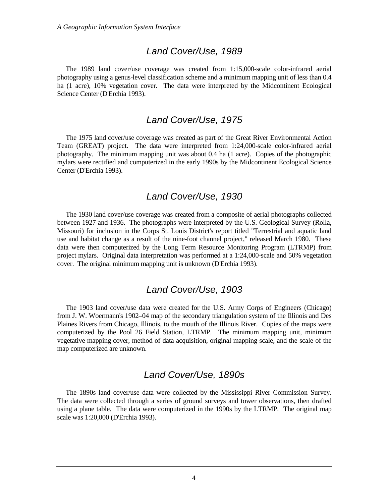#### *Land Cover/Use, 1989*

The 1989 land cover/use coverage was created from 1:15,000-scale color-infrared aerial photography using a genus-level classification scheme and a minimum mapping unit of less than 0.4 ha (1 acre), 10% vegetation cover. The data were interpreted by the Midcontinent Ecological Science Center (D'Erchia 1993).

#### *Land Cover/Use, 1975*

The 1975 land cover/use coverage was created as part of the Great River Environmental Action Team (GREAT) project. The data were interpreted from 1:24,000-scale color-infrared aerial photography. The minimum mapping unit was about 0.4 ha (1 acre). Copies of the photographic mylars were rectified and computerized in the early 1990s by the Midcontinent Ecological Science Center (D'Erchia 1993).

#### *Land Cover/Use, 1930*

The 1930 land cover/use coverage was created from a composite of aerial photographs collected between 1927 and 1936. The photographs were interpreted by the U.S. Geological Survey (Rolla, Missouri) for inclusion in the Corps St. Louis District's report titled "Terrestrial and aquatic land use and habitat change as a result of the nine-foot channel project," released March 1980. These data were then computerized by the Long Term Resource Monitoring Program (LTRMP) from project mylars. Original data interpretation was performed at a 1:24,000-scale and 50% vegetation cover. The original minimum mapping unit is unknown (D'Erchia 1993).

#### *Land Cover/Use, 1903*

The 1903 land cover/use data were created for the U.S. Army Corps of Engineers (Chicago) from J. W. Woermann's 1902–04 map of the secondary triangulation system of the Illinois and Des Plaines Rivers from Chicago, Illinois, to the mouth of the Illinois River. Copies of the maps were computerized by the Pool 26 Field Station, LTRMP. The minimum mapping unit, minimum vegetative mapping cover, method of data acquisition, original mapping scale, and the scale of the map computerized are unknown.

#### *Land Cover/Use, 1890s*

The 1890s land cover/use data were collected by the Mississippi River Commission Survey. The data were collected through a series of ground surveys and tower observations, then drafted using a plane table. The data were computerized in the 1990s by the LTRMP. The original map scale was 1:20,000 (D'Erchia 1993).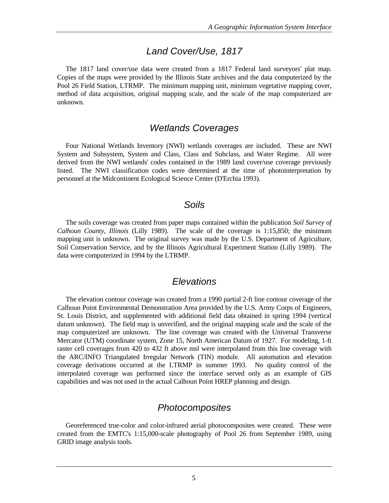#### *Land Cover/Use, 1817*

The 1817 land cover/use data were created from a 1817 Federal land surveyors' plat map. Copies of the maps were provided by the Illinois State archives and the data computerized by the Pool 26 Field Station, LTRMP. The minimum mapping unit, minimum vegetative mapping cover, method of data acquisition, original mapping scale, and the scale of the map computerized are unknown.

#### *Wetlands Coverages*

Four National Wetlands Inventory (NWI) wetlands coverages are included. These are NWI System and Subsystem, System and Class, Class and Subclass, and Water Regime. All were derived from the NWI wetlands' codes contained in the 1989 land cover/use coverage previously listed. The NWI classification codes were determined at the time of photointerpretation by personnel at the Midcontinent Ecological Science Center (D'Erchia 1993).

#### *Soils*

The soils coverage was created from paper maps contained within the publication *Soil Survey of Calhoun County, Illinois* (Lilly 1989). The scale of the coverage is 1:15,850; the minimum mapping unit is unknown. The original survey was made by the U.S. Department of Agriculture, Soil Conservation Service, and by the Illinois Agricultural Experiment Station (Lilly 1989). The data were computerized in 1994 by the LTRMP.

#### *Elevations*

The elevation contour coverage was created from a 1990 partial 2-ft line contour coverage of the Calhoun Point Environmental Demonstration Area provided by the U.S. Army Corps of Engineers, St. Louis District, and supplemented with additional field data obtained in spring 1994 (vertical datum unknown). The field map is unverified, and the original mapping scale and the scale of the map computerized are unknown. The line coverage was created with the Universal Transverse Mercator (UTM) coordinate system, Zone 15, North American Datum of 1927. For modeling, 1-ft raster cell coverages from 420 to 432 ft above msl were interpolated from this line coverage with the ARC/INFO Triangulated Irregular Network (TIN) module. All automation and elevation coverage derivations occurred at the LTRMP in summer 1993. No quality control of the interpolated coverage was performed since the interface served only as an example of GIS capabilities and was not used in the actual Calhoun Point HREP planning and design.

### *Photocomposites*

Georeferenced true-color and color-infrared aerial photocomposites were created. These were created from the EMTC's 1:15,000-scale photography of Pool 26 from September 1989, using GRID image analysis tools.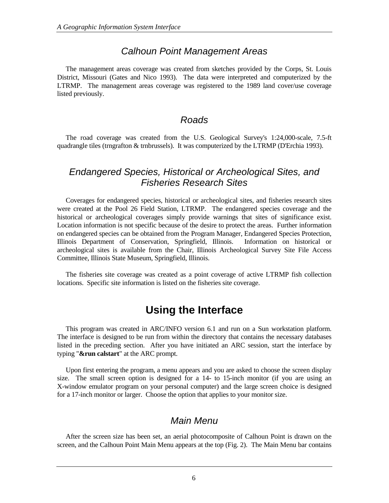#### *Calhoun Point Management Areas*

The management areas coverage was created from sketches provided by the Corps, St. Louis District, Missouri (Gates and Nico 1993). The data were interpreted and computerized by the LTRMP. The management areas coverage was registered to the 1989 land cover/use coverage listed previously.

#### *Roads*

The road coverage was created from the U.S. Geological Survey's 1:24,000-scale, 7.5-ft quadrangle tiles (trngrafton & trnbrussels). It was computerized by the LTRMP (D'Erchia 1993).

### *Endangered Species, Historical or Archeological Sites, and Fisheries Research Sites*

Coverages for endangered species, historical or archeological sites, and fisheries research sites were created at the Pool 26 Field Station, LTRMP. The endangered species coverage and the historical or archeological coverages simply provide warnings that sites of significance exist. Location information is not specific because of the desire to protect the areas. Further information on endangered species can be obtained from the Program Manager, Endangered Species Protection, Illinois Department of Conservation, Springfield, Illinois. Information on historical or archeological sites is available from the Chair, Illinois Archeological Survey Site File Access Committee, Illinois State Museum, Springfield, Illinois.

The fisheries site coverage was created as a point coverage of active LTRMP fish collection locations. Specific site information is listed on the fisheries site coverage.

## **Using the Interface**

This program was created in ARC/INFO version 6.1 and run on a Sun workstation platform. The interface is designed to be run from within the directory that contains the necessary databases listed in the preceding section. After you have initiated an ARC session, start the interface by typing "**&run calstart**" at the ARC prompt.

Upon first entering the program, a menu appears and you are asked to choose the screen display size. The small screen option is designed for a 14- to 15-inch monitor (if you are using an X-window emulator program on your personal computer) and the large screen choice is designed for a 17-inch monitor or larger. Choose the option that applies to your monitor size.

## *Main Menu*

After the screen size has been set, an aerial photocomposite of Calhoun Point is drawn on the screen, and the Calhoun Point Main Menu appears at the top (Fig. 2). The Main Menu bar contains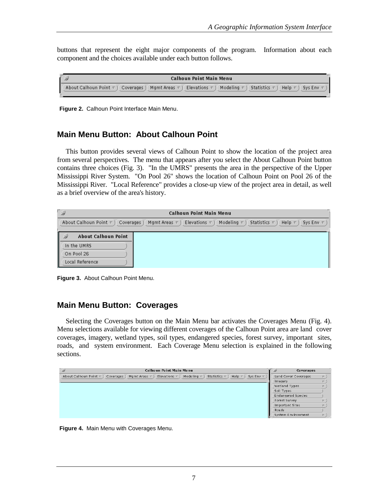buttons that represent the eight major components of the program. Information about each component and the choices available under each button follows.

|  | Calhoun Point Main Menu                                                                                                                                     |
|--|-------------------------------------------------------------------------------------------------------------------------------------------------------------|
|  | About Calhoun Point $\nabla$ ) Coverages ) Mgmt Areas $\nabla$ ) Elevations $\nabla$ ) Modeling $\nabla$ ) Statistics $\nabla$ )<br>Help $\nabla$ ) Sys Env |

**Figure 2.** Calhoun Point Interface Main Menu.

#### **Main Menu Button: About Calhoun Point**

This button provides several views of Calhoun Point to show the location of the project area from several perspectives. The menu that appears after you select the About Calhoun Point button contains three choices (Fig. 3). "In the UMRS" presents the area in the perspective of the Upper Mississippi River System. "On Pool 26" shows the location of Calhoun Point on Pool 26 of the Mississippi River. "Local Reference" provides a close-up view of the project area in detail, as well as a brief overview of the area's history.

| $\mathbb{Z}$<br><b>Calhoun Point Main Menu</b>                                                                                                                                    |  |  |  |  |  |
|-----------------------------------------------------------------------------------------------------------------------------------------------------------------------------------|--|--|--|--|--|
| About Calhoun Point $\overline{v}$ )<br>Modeling $\nabla$<br>Elevations $\nabla$<br>Statistics $\nabla$ )<br>Coverages<br>Mgmt Areas $\pi$ )<br>Help $\nabla$<br>Sys Env $\nabla$ |  |  |  |  |  |
| <b>About Calhoun Point</b>                                                                                                                                                        |  |  |  |  |  |
| In the UMRS                                                                                                                                                                       |  |  |  |  |  |
| On Pool 26                                                                                                                                                                        |  |  |  |  |  |
| Local Reference                                                                                                                                                                   |  |  |  |  |  |

**Figure 3.** About Calhoun Point Menu.

#### **Main Menu Button: Coverages**

Selecting the Coverages button on the Main Menu bar activates the Coverages Menu (Fig. 4). Menu selections available for viewing different coverages of the Calhoun Point area are land cover coverages, imagery, wetland types, soil types, endangered species, forest survey, important sites, roads, and system environment. Each Coverage Menu selection is explained in the following sections.

| $\mathcal{D}$<br><b>Calhoun Point Main Menu</b>                                                                                                                       | یی ا                      | Coverages            |
|-----------------------------------------------------------------------------------------------------------------------------------------------------------------------|---------------------------|----------------------|
| Modeling $\nabla$<br>Elevations $\nabla$<br>Statistics $\nabla$ )<br>About Calhoun Point v<br>Mqmt Areas $\nabla$<br>Help $\nabla$<br>Sys Env $\nabla$<br>Coverages ] |                           | Land Cover Coverages |
|                                                                                                                                                                       | Imagery                   |                      |
|                                                                                                                                                                       | Wetland Types             |                      |
|                                                                                                                                                                       | Soil Types                |                      |
|                                                                                                                                                                       | <b>Endangered Species</b> |                      |
|                                                                                                                                                                       | Forest Survey             |                      |
|                                                                                                                                                                       | Important Sites           |                      |
|                                                                                                                                                                       | Roads                     |                      |
|                                                                                                                                                                       | System Environment        |                      |

**Figure 4.** Main Menu with Coverages Menu.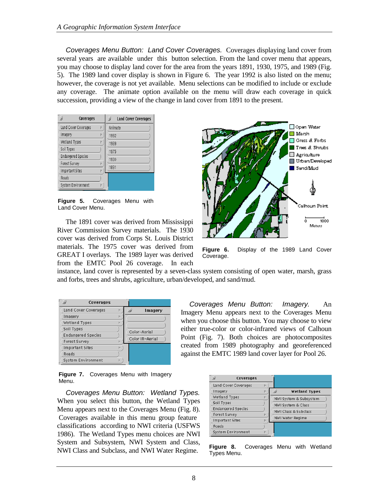*Coverages Menu Button: Land Cover Coverages.* Coverages displaying land cover from several years are available under this button selection. From the land cover menu that appears, you may choose to display land cover for the area from the years 1891, 1930, 1975, and 1989 (Fig. 5). The 1989 land cover display is shown in Figure 6. The year 1992 is also listed on the menu; however, the coverage is not yet available. Menu selections can be modified to include or exclude any coverage. The animate option available on the menu will draw each coverage in quick succession, providing a view of the change in land cover from 1891 to the present.

| Coverages                  | <b>Land Cover Coverages</b> |
|----------------------------|-----------------------------|
| Land Cover Coverages<br>b. | Animate                     |
| Imagery<br>Þ.              | 1992                        |
| Wetland Types              | 1989                        |
| Soil Types                 | 1975                        |
| <b>Endangered Species</b>  | 1930                        |
| Forest Survey<br>Þ.        | 1891                        |
| Important Sites<br>Þ.      |                             |
| Roads                      |                             |
| System Environment<br>Þ.   |                             |

**Figure 5.** Coverages Menu with Land Cover Menu.

The 1891 cover was derived from Mississippi River Commission Survey materials. The 1930 cover was derived from Corps St. Louis District materials. The 1975 cover was derived from GREAT I overlays. The 1989 layer was derived from the EMTC Pool 26 coverage. In each



**Figure 6.** Display of the 1989 Land Cover Coverage.

instance, land cover is represented by a seven-class system consisting of open water, marsh, grass and forbs, trees and shrubs, agriculture, urban/developed, and sand/mud.

|                        | Coverages                 |    |                 |
|------------------------|---------------------------|----|-----------------|
|                        | Land Cover Coverages      | p. | <b>Imagery</b>  |
| Imagery                |                           |    |                 |
| Wetland Types          |                           | P- |                 |
| Soil Types             |                           |    |                 |
|                        | <b>Endangered Species</b> |    | Color-Aerial    |
| Forest Survey          |                           | P. | Color IR-Aerial |
| <b>Important Sites</b> |                           |    |                 |
| Roads                  |                           |    |                 |
|                        | System Environment        |    |                 |
|                        |                           |    |                 |

*Coverages Menu Button: Imagery.* An Imagery Menu appears next to the Coverages Menu when you choose this button. You may choose to view either true-color or color-infrared views of Calhoun Point (Fig. 7). Both choices are photocomposites created from 1989 photography and georeferenced against the EMTC 1989 land cover layer for Pool 26.

**Figure 7.** Coverages Menu with Imagery Menu.

*Coverages Menu Button: Wetland Types.* When you select this button, the Wetland Types Menu appears next to the Coverages Menu (Fig. 8). Coverages available in this menu group feature classifications according to NWI criteria (USFWS 1986). The Wetland Types menu choices are NWI System and Subsystem, NWI System and Class, NWI Class and Subclass, and NWI Water Regime.

| g<br>Coverages            |    |                            |
|---------------------------|----|----------------------------|
| Land Cover Coverages      | p. |                            |
| Imagery                   | P. | ű.<br><b>Wetland Types</b> |
| Wetland Types             | p- | NWI System & Subsystem     |
| Soil Types                |    | NWI System & Class         |
| <b>Endangered Species</b> |    | NWI Class & Subclass       |
| Forest Survey             |    |                            |
| Important Sites           | p. | NWI Water Regime           |
| Roads                     |    |                            |
| System Environment        | b. |                            |

**Figure 8.** Coverages Menu with Wetland Types Menu.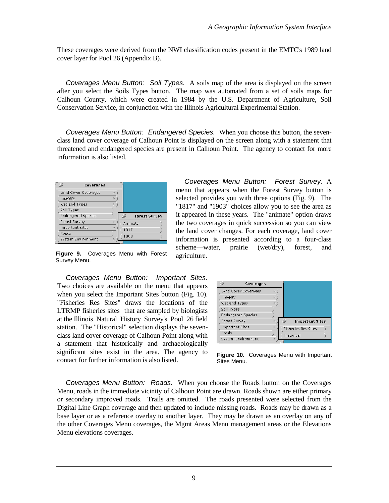These coverages were derived from the NWI classification codes present in the EMTC's 1989 land cover layer for Pool 26 (Appendix B).

*Coverages Menu Button: Soil Types.* A soils map of the area is displayed on the screen after you select the Soils Types button. The map was automated from a set of soils maps for Calhoun County, which were created in 1984 by the U.S. Department of Agriculture, Soil Conservation Service, in conjunction with the Illinois Agricultural Experimental Station.

*Coverages Menu Button: Endangered Species.* When you choose this button, the sevenclass land cover coverage of Calhoun Point is displayed on the screen along with a statement that threatened and endangered species are present in Calhoun Point. The agency to contact for more information is also listed.

| Coverages                 |    |                      |
|---------------------------|----|----------------------|
| Land Cover Coverages      | P. |                      |
| Imagery                   | p. |                      |
| Wetland Types             | P. |                      |
| Soil Types                |    |                      |
| <b>Endangered Species</b> |    | <b>Forest Survey</b> |
| Forest Survey             | P. | Animate              |
| <b>Important Sites</b>    | p. | 1817                 |
| Roads                     |    |                      |
| System Environment        | p. | 1903                 |

**Figure 9.** Coverages Menu with Forest Survey Menu.

*Coverages Menu Button: Important Sites.* Two choices are available on the menu that appears when you select the Important Sites button (Fig. 10). "Fisheries Res Sites" draws the locations of the LTRMP fisheries sites that are sampled by biologists at the Illinois Natural History Survey's Pool 26 field station. The "Historical" selection displays the sevenclass land cover coverage of Calhoun Point along with a statement that historically and archaeologically significant sites exist in the area. The agency to contact for further information is also listed.

*Coverages Menu Button: Forest Survey.* A menu that appears when the Forest Survey button is selected provides you with three options (Fig. 9). The "1817" and "1903" choices allow you to see the area as it appeared in these years. The "animate" option draws the two coverages in quick succession so you can view the land cover changes. For each coverage, land cover information is presented according to a four-class scheme—water, prairie (wet/dry), forest, and agriculture.



**Figure 10.** Coverages Menu with Important Sites Menu.

*Coverages Menu Button: Roads.* When you choose the Roads button on the Coverages Menu, roads in the immediate vicinity of Calhoun Point are drawn. Roads shown are either primary or secondary improved roads. Trails are omitted. The roads presented were selected from the Digital Line Graph coverage and then updated to include missing roads. Roads may be drawn as a base layer or as a reference overlay to another layer. They may be drawn as an overlay on any of the other Coverages Menu coverages, the Mgmt Areas Menu management areas or the Elevations Menu elevations coverages.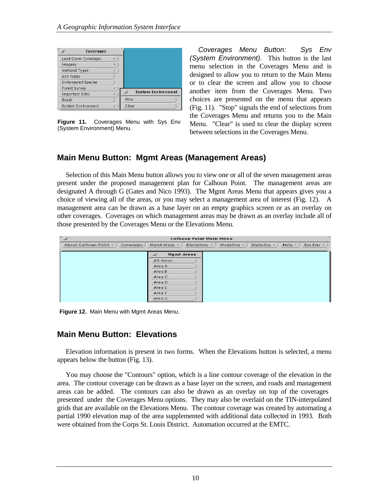| Coverages                 |                                      |
|---------------------------|--------------------------------------|
| Land Cover Coverages      | b.                                   |
| Imagery                   | D.                                   |
| Wetland Types             | h.                                   |
| Soil Types                |                                      |
| <b>Endangered Species</b> |                                      |
| Forest Survey             | Þ.                                   |
| Important Sites           | G<br><b>System Environment</b><br>p. |
| Roads                     | Stop                                 |
| System Environment        | Clear<br>D.                          |

**Figure 11.** Coverages Menu with Sys Env (System Environment) Menu.

*Coverages Menu Button: Sys Env (System Environment).* This button is the last menu selection in the Coverages Menu and is designed to allow you to return to the Main Menu or to clear the screen and allow you to choose another item from the Coverages Menu. Two choices are presented on the menu that appears (Fig. 11). "Stop" signals the end of selections from the Coverages Menu and returns you to the Main Menu. "Clear" is used to clear the display screen between selections in the Coverages Menu.

#### **Main Menu Button: Mgmt Areas (Management Areas)**

Selection of this Main Menu button allows you to view one or all of the seven management areas present under the proposed management plan for Calhoun Point. The management areas are designated A through G (Gates and Nico 1993). The Mgmt Areas Menu that appears gives you a choice of viewing all of the areas, or you may select a management area of interest (Fig. 12). A management area can be drawn as a base layer on an empty graphics screen or as an overlay on other coverages. Coverages on which management areas may be drawn as an overlay include all of those presented by the Coverages Menu or the Elevations Menu.

| -<br>⊏ அ<br><b>Calhoun Point Main Menu</b> |                                                                                                                               |  |  |
|--------------------------------------------|-------------------------------------------------------------------------------------------------------------------------------|--|--|
| About Calhoun Point $\nabla$ ) Coverages ) | Mqmt Areas $\nabla$ Elevations $\nabla$ Modeling $\nabla$ )<br>Statistics $\nabla$ )<br>Help $\nabla$ )<br>Sys Env $\nabla$ ) |  |  |
|                                            | $\Rightarrow$<br><b>Mgmt Areas</b>                                                                                            |  |  |
|                                            | All Areas                                                                                                                     |  |  |
|                                            | Area A                                                                                                                        |  |  |
|                                            | Area B                                                                                                                        |  |  |
|                                            | Area C                                                                                                                        |  |  |
|                                            | Area D<br>Area E                                                                                                              |  |  |
|                                            | Area F                                                                                                                        |  |  |
|                                            | Area G                                                                                                                        |  |  |

**Figure 12.** Main Menu with Mgmt Areas Menu.

#### **Main Menu Button: Elevations**

Elevation information is present in two forms. When the Elevations button is selected, a menu appears below the button (Fig. 13).

You may choose the "Contours" option, which is a line contour coverage of the elevation in the area. The contour coverage can be drawn as a base layer on the screen, and roads and management areas can be added. The contours can also be drawn as an overlay on top of the coverages presented under the Coverages Menu options. They may also be overlaid on the TIN-interpolated grids that are available on the Elevations Menu. The contour coverage was created by automating a partial 1990 elevation map of the area supplemented with additional data collected in 1993. Both were obtained from the Corps St. Louis District. Automation occurred at the EMTC.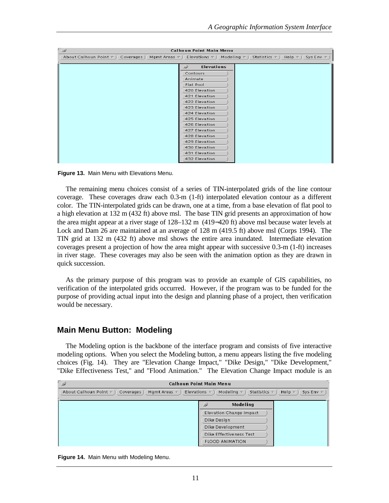| ي -<br><b>Calhoun Point Main Menu</b>      |                               |                                                                                                              |  |  |
|--------------------------------------------|-------------------------------|--------------------------------------------------------------------------------------------------------------|--|--|
| About Calhoun Point $\nabla$ ) Coverages ) |                               | Mgmt Areas $\pi$ ) Elevations $\pi$ ) Modeling $\pi$ ) Statistics $\pi$ ) Help $\pi$ )<br>Sys Env $\nabla$ ) |  |  |
|                                            | $\omega$<br><b>Elevations</b> |                                                                                                              |  |  |
|                                            |                               |                                                                                                              |  |  |
|                                            | Contours                      |                                                                                                              |  |  |
|                                            | Animate                       |                                                                                                              |  |  |
|                                            | Flat Pool                     |                                                                                                              |  |  |
|                                            | 420 Elevation                 |                                                                                                              |  |  |
|                                            | 421 Elevation                 |                                                                                                              |  |  |
|                                            | 422 Elevation                 |                                                                                                              |  |  |
|                                            | 423 Elevation                 |                                                                                                              |  |  |
|                                            | 424 Elevation                 |                                                                                                              |  |  |
|                                            | 425 Elevation                 |                                                                                                              |  |  |
|                                            | 426 Elevation                 |                                                                                                              |  |  |
|                                            | 427 Elevation                 |                                                                                                              |  |  |
|                                            | 428 Elevation                 |                                                                                                              |  |  |
|                                            | 429 Elevation                 |                                                                                                              |  |  |
|                                            | 430 Elevation                 |                                                                                                              |  |  |
|                                            | 431 Elevation                 |                                                                                                              |  |  |
|                                            | 432 Elevation                 |                                                                                                              |  |  |

**Figure 13.** Main Menu with Elevations Menu.

The remaining menu choices consist of a series of TIN-interpolated grids of the line contour coverage. These coverages draw each 0.3-m (1-ft) interpolated elevation contour as a different color. The TIN-interpolated grids can be drawn, one at a time, from a base elevation of flat pool to a high elevation at 132 m (432 ft) above msl. The base TIN grid presents an approximation of how the area might appear at a river stage of 128–132 m (419−420 ft) above msl because water levels at Lock and Dam 26 are maintained at an average of 128 m (419.5 ft) above msl (Corps 1994). The TIN grid at 132 m (432 ft) above msl shows the entire area inundated. Intermediate elevation coverages present a projection of how the area might appear with successive 0.3-m (1-ft) increases in river stage. These coverages may also be seen with the animation option as they are drawn in quick succession.

As the primary purpose of this program was to provide an example of GIS capabilities, no verification of the interpolated grids occurred. However, if the program was to be funded for the purpose of providing actual input into the design and planning phase of a project, then verification would be necessary.

#### **Main Menu Button: Modeling**

The Modeling option is the backbone of the interface program and consists of five interactive modeling options. When you select the Modeling button, a menu appears listing the five modeling choices (Fig. 14). They are "Elevation Change Impact," "Dike Design," "Dike Development," "Dike Effectiveness Test," and "Flood Animation." The Elevation Change Impact module is an

| $\mathbb{Q}$<br><b>Calhoun Point Main Menu</b>                                                                                                                                 |                         |  |  |  |
|--------------------------------------------------------------------------------------------------------------------------------------------------------------------------------|-------------------------|--|--|--|
| About Calhoun Point $\overline{v}$ )<br>Elevations $\nabla$<br>Modeling $\nabla$<br>Coverages)<br>Statistics $\nabla$<br>Mgmt Areas $\pi$<br>Help $\nabla$<br>Sys Env $\nabla$ |                         |  |  |  |
|                                                                                                                                                                                | <b>Modeling</b><br>B    |  |  |  |
|                                                                                                                                                                                | Elevation Change Impact |  |  |  |
|                                                                                                                                                                                | Dike Design             |  |  |  |
|                                                                                                                                                                                | Dike Development        |  |  |  |
|                                                                                                                                                                                | Dike Effectiveness Test |  |  |  |
|                                                                                                                                                                                | <b>FLOOD ANIMATION</b>  |  |  |  |

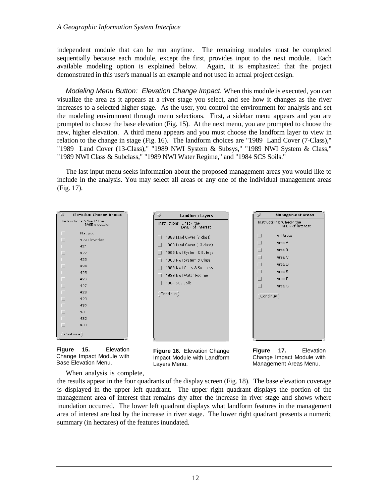independent module that can be run anytime. The remaining modules must be completed sequentially because each module, except the first, provides input to the next module. Each available modeling option is explained below. Again, it is emphasized that the project demonstrated in this user's manual is an example and not used in actual project design.

*Modeling Menu Button: Elevation Change Impact.* When this module is executed, you can visualize the area as it appears at a river stage you select, and see how it changes as the river increases to a selected higher stage. As the user, you control the environment for analysis and set the modeling environment through menu selections. First, a sidebar menu appears and you are prompted to choose the base elevation (Fig. 15). At the next menu, you are prompted to choose the new, higher elevation. A third menu appears and you must choose the landform layer to view in relation to the change in stage (Fig. 16). The landform choices are "1989 Land Cover (7-Class)," "1989 Land Cover (13-Class)," "1989 NWI System & Subsys," "1989 NWI System & Class," "1989 NWI Class & Subclass," "1989 NWI Water Regime," and "1984 SCS Soils."

The last input menu seeks information about the proposed management areas you would like to include in the analysis. You may select all areas or any one of the individual management areas (Fig. 17).

**Landform Layers** 

| نح                       | <b>Elevation Change Impact</b>                     |
|--------------------------|----------------------------------------------------|
|                          | Instructions: 'Check' the<br><b>BASE</b> elevation |
| $\Box$                   | Flat pool                                          |
| $\Box$                   | 420 Elevation                                      |
| $\Box$                   | 421                                                |
| $\overline{\phantom{0}}$ | 422                                                |
| $\Box$                   | 423                                                |
| $\overline{\phantom{0}}$ | 424                                                |
| $\Box$                   | 425                                                |
| $\overline{\phantom{0}}$ | 426                                                |
| $\Box$                   | 427                                                |
| $\overline{\phantom{0}}$ | 428                                                |
| $\Box$                   | 429                                                |
| $\overline{\phantom{0}}$ | 430                                                |
| $\Box$                   | 431                                                |
| $\Box$                   | 432                                                |
| $\Box$                   | 433                                                |
|                          | Continue                                           |



Instructions: 'Check' the<br>LAYER of interest 1989 Land Cover (7 class) 1989 Land Cover (13 class)  $\Box$ 1989 NWI System & Subsys  $\Box$ 1989 NWI System & Class 1989 NWI Class & Subclass 1989 NWI Water Regime  $\Box$  1984 SCS Soils Continue)



**Figure 17.** Elevation Change Impact Module with Management Areas Menu.

**Management Areas** 

Instructions: 'Check' the<br>AREA of interest

All Areas

Area A

Area B

Area C

Area D

Area E

Area F

Area G

 $\Box$ 

 $\Box$ 

 $\Box$ 

 $\Box$ 

 $\Box$ 

 $\Box$ 

 $\Box$ 

 $\Box$ 

Continue)

When analysis is complete,

the results appear in the four quadrants of the display screen (Fig. 18). The base elevation coverage is displayed in the upper left quadrant. The upper right quadrant displays the portion of the management area of interest that remains dry after the increase in river stage and shows where inundation occurred. The lower left quadrant displays what landform features in the management area of interest are lost by the increase in river stage. The lower right quadrant presents a numeric summary (in hectares) of the features inundated.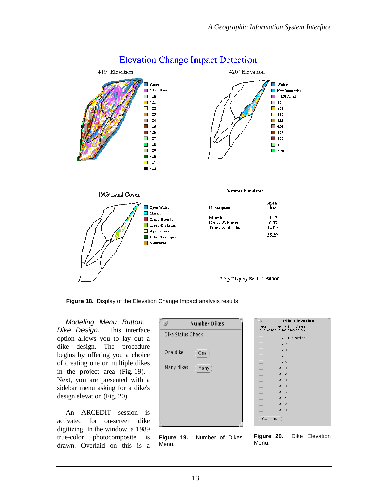

## **Elevation Change Impact Detection**

**Figure 18.** Display of the Elevation Change Impact analysis results.

*Modeling Menu Button: Dike Design.* This interface option allows you to lay out a dike design. The procedure begins by offering you a choice of creating one or multiple dikes in the project area (Fig. 19). Next, you are presented with a sidebar menu asking for a dike's design elevation (Fig. 20).

An ARCEDIT session is activated for on-screen dike digitizing. In the window, a 1989 true-color photocomposite is drawn. Overlaid on this is a





| ω      | Dike Elevation                                       |
|--------|------------------------------------------------------|
|        | Instructions: 'Check' the<br>proposed dike elevation |
| $\Box$ | 421 Elevation                                        |
| $\Box$ | 422                                                  |
| $\Box$ | 423                                                  |
| $\Box$ | 424                                                  |
| ⊔      | 425                                                  |
| $\Box$ | 426                                                  |
| $\Box$ | 427                                                  |
| $\Box$ | 428                                                  |
| $\Box$ | 429                                                  |
| $\Box$ | 430                                                  |
| $\Box$ | 431                                                  |
| $\Box$ | 432                                                  |
| $\Box$ | 433                                                  |
|        | Continue                                             |

**Figure 20.** Dike Elevation Menu.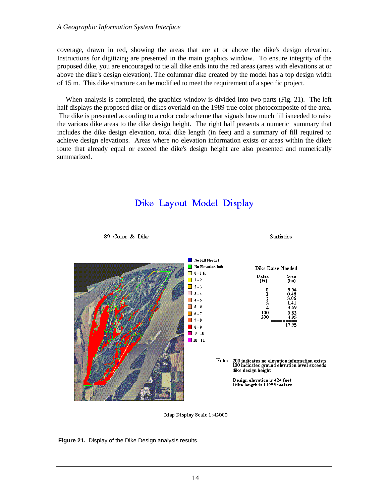coverage, drawn in red, showing the areas that are at or above the dike's design elevation. Instructions for digitizing are presented in the main graphics window. To ensure integrity of the proposed dike, you are encouraged to tie all dike ends into the red areas (areas with elevations at or above the dike's design elevation). The columnar dike created by the model has a top design width of 15 m. This dike structure can be modified to meet the requirement of a specific project.

When analysis is completed, the graphics window is divided into two parts (Fig. 21). The left half displays the proposed dike or dikes overlaid on the 1989 true-color photocomposite of the area. The dike is presented according to a color code scheme that signals how much fill isneeded to raise the various dike areas to the dike design height. The right half presents a numeric summary that includes the dike design elevation, total dike length (in feet) and a summary of fill required to achieve design elevations. Areas where no elevation information exists or areas within the dike's route that already equal or exceed the dike's design height are also presented and numerically summarized.

## Dike Layout Model Display



89 Color & Dike





**Figure 21.** Display of the Dike Design analysis results.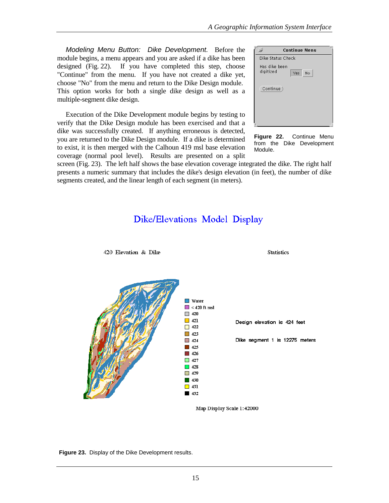*Modeling Menu Button: Dike Development.* Before the module begins, a menu appears and you are asked if a dike has been designed (Fig. 22). If you have completed this step, choose "Continue" from the menu. If you have not created a dike yet, choose "No" from the menu and return to the Dike Design module. This option works for both a single dike design as well as a multiple-segment dike design.

Execution of the Dike Development module begins by testing to verify that the Dike Design module has been exercised and that a dike was successfully created. If anything erroneous is detected, you are returned to the Dike Design module. If a dike is determined to exist, it is then merged with the Calhoun 419 msl base elevation coverage (normal pool level). Results are presented on a split

420 Elevation & Dike

|                            | <b>Continue Menu</b> |
|----------------------------|----------------------|
| Dike Status Check          |                      |
| Has dike been<br>digitized | No<br>Yes            |
| Continue)                  |                      |
|                            |                      |

**Figure 22.** Continue Menu from the Dike Development Module.

**Statistics** 

screen (Fig. 23). The left half shows the base elevation coverage integrated the dike. The right half presents a numeric summary that includes the dike's design elevation (in feet), the number of dike segments created, and the linear length of each segment (in meters).

## Dike/Elevations Model Display



**Figure 23.** Display of the Dike Development results.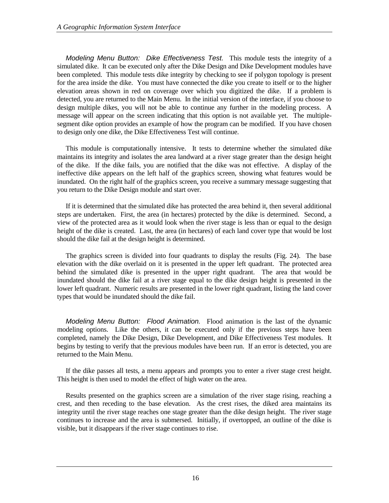*Modeling Menu Button: Dike Effectiveness Test.* This module tests the integrity of a simulated dike. It can be executed only after the Dike Design and Dike Development modules have been completed. This module tests dike integrity by checking to see if polygon topology is present for the area inside the dike. You must have connected the dike you create to itself or to the higher elevation areas shown in red on coverage over which you digitized the dike. If a problem is detected, you are returned to the Main Menu. In the initial version of the interface, if you choose to design multiple dikes, you will not be able to continue any further in the modeling process. A message will appear on the screen indicating that this option is not available yet. The multiplesegment dike option provides an example of how the program can be modified. If you have chosen to design only one dike, the Dike Effectiveness Test will continue.

This module is computationally intensive. It tests to determine whether the simulated dike maintains its integrity and isolates the area landward at a river stage greater than the design height of the dike. If the dike fails, you are notified that the dike was not effective. A display of the ineffective dike appears on the left half of the graphics screen, showing what features would be inundated. On the right half of the graphics screen, you receive a summary message suggesting that you return to the Dike Design module and start over.

If it is determined that the simulated dike has protected the area behind it, then several additional steps are undertaken. First, the area (in hectares) protected by the dike is determined. Second, a view of the protected area as it would look when the river stage is less than or equal to the design height of the dike is created. Last, the area (in hectares) of each land cover type that would be lost should the dike fail at the design height is determined.

The graphics screen is divided into four quadrants to display the results (Fig. 24). The base elevation with the dike overlaid on it is presented in the upper left quadrant. The protected area behind the simulated dike is presented in the upper right quadrant. The area that would be inundated should the dike fail at a river stage equal to the dike design height is presented in the lower left quadrant. Numeric results are presented in the lower right quadrant, listing the land cover types that would be inundated should the dike fail.

*Modeling Menu Button: Flood Animation.* Flood animation is the last of the dynamic modeling options. Like the others, it can be executed only if the previous steps have been completed, namely the Dike Design, Dike Development, and Dike Effectiveness Test modules. It begins by testing to verify that the previous modules have been run. If an error is detected, you are returned to the Main Menu.

If the dike passes all tests, a menu appears and prompts you to enter a river stage crest height. This height is then used to model the effect of high water on the area.

Results presented on the graphics screen are a simulation of the river stage rising, reaching a crest, and then receding to the base elevation. As the crest rises, the diked area maintains its integrity until the river stage reaches one stage greater than the dike design height. The river stage continues to increase and the area is submersed. Initially, if overtopped, an outline of the dike is visible, but it disappears if the river stage continues to rise.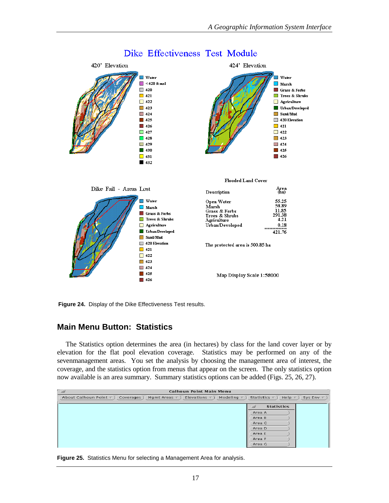

#### Dike Effectiveness Test Module

**Figure 24.** Display of the Dike Effectiveness Test results.

#### **Main Menu Button: Statistics**

The Statistics option determines the area (in hectares) by class for the land cover layer or by elevation for the flat pool elevation coverage. Statistics may be performed on any of the sevenmanagement areas. You set the analysis by choosing the management area of interest, the coverage, and the statistics option from menus that appear on the screen. The only statistics option now available is an area summary. Summary statistics options can be added (Figs. 25, 26, 27).

| - 9<br><b>Calhoun Point Main Menu</b>                                                                             |                                                                                                          |
|-------------------------------------------------------------------------------------------------------------------|----------------------------------------------------------------------------------------------------------|
| Modeling $\tau$ )<br>About Calhoun Point $\nabla$ ) Coverages )<br>Mgmt Areas $\nabla$ )<br>Elevations $\nabla$ ) | Statistics $\nabla$ )<br>Help $\tau$ )<br>Sys Env $\tau$ )                                               |
|                                                                                                                   | $\rightarrow$<br><b>Statistics</b><br>Area A<br>Area B<br>Area C<br>Area D<br>Area E<br>Area F<br>Area G |

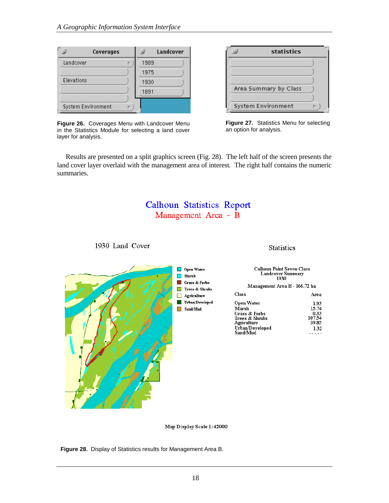| Coverages               | Landcover |
|-------------------------|-----------|
| Landcover<br>Þ          | 1989      |
|                         | 1975      |
| Elevations              | 1930      |
|                         | 1891      |
|                         |           |
| System Environment<br>Þ |           |



| statistics            |  |
|-----------------------|--|
|                       |  |
|                       |  |
| Area Summary by Class |  |
|                       |  |
| System Environment    |  |

**Figure 27.** Statistics Menu for selecting an option for analysis.

Results are presented on a split graphics screen (Fig. 28). The left half of the screen presents the land cover layer overlaid with the management area of interest. The right half contains the numeric summaries.

## **Calhoun Statistics Report** Management Area - B



Map Display Scale 1:42000

**Figure 28.** Display of Statistics results for Management Area B.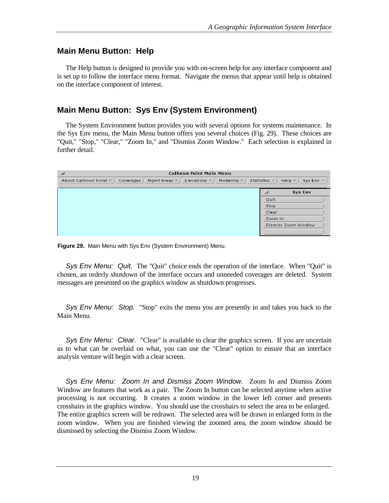#### **Main Menu Button: Help**

The Help button is designed to provide you with on-screen help for any interface component and is set up to follow the interface menu format. Navigate the menus that appear until help is obtained on the interface component of interest.

#### **Main Menu Button: Sys Env (System Environment)**

The System Environment button provides you with several options for systems maintenance. In the Sys Env menu, the Main Menu button offers you several choices (Fig. 29). These choices are "Quit," "Stop," "Clear," "Zoom In," and "Dismiss Zoom Window." Each selection is explained in further detail.

| $\overline{\mathcal{L}}$                   |                                                | <b>Calhoun Point Main Menu</b> |                       |                                       |
|--------------------------------------------|------------------------------------------------|--------------------------------|-----------------------|---------------------------------------|
| About Calhoun Point $\nabla$ ) Coverages ) | Mqmt Areas $\nabla$ )<br>Elevations $\nabla$ ) | Modeling $\nabla$ )            | Statistics $\nabla$ ) | Help $\nabla$ )<br>Sys Env $\nabla$ ) |
|                                            |                                                |                                | $\omega$              | Sys Env                               |
|                                            |                                                |                                | Quit                  |                                       |
|                                            |                                                |                                | Stop                  |                                       |
|                                            |                                                |                                | Clear                 |                                       |
|                                            |                                                |                                | Zoom In               |                                       |
|                                            |                                                |                                |                       | Dismiss Zoom Window                   |
|                                            |                                                |                                |                       |                                       |

**Figure 29.** Main Menu with Sys Env (System Environment) Menu.

*Sys Env Menu: Quit.* The "Quit" choice ends the operation of the interface. When "Quit" is chosen, an orderly shutdown of the interface occurs and unneeded coverages are deleted. System messages are presented on the graphics window as shutdown progresses.

*Sys Env Menu: Stop.* "Stop" exits the menu you are presently in and takes you back to the Main Menu.

*Sys Env Menu: Clear.* "Clear" is available to clear the graphics screen. If you are uncertain as to what can be overlaid on what, you can use the "Clear" option to ensure that an interface analysis venture will begin with a clear screen.

*Sys Env Menu: Zoom In and Dismiss Zoom Window.* Zoom In and Dismiss Zoom Window are features that work as a pair. The Zoom In button can be selected anytime when active processing is not occurring. It creates a zoom window in the lower left corner and presents crosshairs in the graphics window. You should use the crosshairs to select the area to be enlarged. The entire graphics screen will be redrawn. The selected area will be drawn in enlarged form in the zoom window. When you are finished viewing the zoomed area, the zoom window should be dismissed by selecting the Dismiss Zoom Window.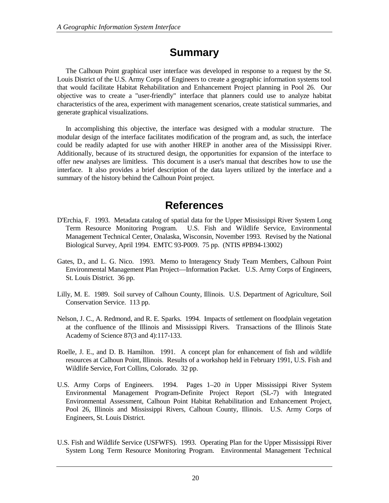# **Summary**

The Calhoun Point graphical user interface was developed in response to a request by the St. Louis District of the U.S. Army Corps of Engineers to create a geographic information systems tool that would facilitate Habitat Rehabilitation and Enhancement Project planning in Pool 26. Our objective was to create a "user-friendly" interface that planners could use to analyze habitat characteristics of the area, experiment with management scenarios, create statistical summaries, and generate graphical visualizations.

In accomplishing this objective, the interface was designed with a modular structure. The modular design of the interface facilitates modification of the program and, as such, the interface could be readily adapted for use with another HREP in another area of the Mississippi River. Additionally, because of its structured design, the opportunities for expansion of the interface to offer new analyses are limitless. This document is a user's manual that describes how to use the interface. It also provides a brief description of the data layers utilized by the interface and a summary of the history behind the Calhoun Point project.

# **References**

- D'Erchia, F. 1993. Metadata catalog of spatial data for the Upper Mississippi River System Long Term Resource Monitoring Program. U.S. Fish and Wildlife Service, Environmental Management Technical Center, Onalaska, Wisconsin, November 1993. Revised by the National Biological Survey, April 1994. EMTC 93-P009. 75 pp. (NTIS #PB94-13002)
- Gates, D., and L. G. Nico. 1993. Memo to Interagency Study Team Members, Calhoun Point Environmental Management Plan Project—Information Packet. U.S. Army Corps of Engineers, St. Louis District. 36 pp.
- Lilly, M. E. 1989. Soil survey of Calhoun County, Illinois. U.S. Department of Agriculture, Soil Conservation Service. 113 pp.
- Nelson, J. C., A. Redmond, and R. E. Sparks. 1994. Impacts of settlement on floodplain vegetation at the confluence of the Illinois and Mississippi Rivers. Transactions of the Illinois State Academy of Science 87(3 and 4):117-133.
- Roelle, J. E., and D. B. Hamilton. 1991. A concept plan for enhancement of fish and wildlife resources at Calhoun Point, Illinois. Results of a workshop held in February 1991, U.S. Fish and Wildlife Service, Fort Collins, Colorado. 32 pp.
- U.S. Army Corps of Engineers. 1994. Pages 1–20 *in* Upper Mississippi River System Environmental Management Program-Definite Project Report (SL-7) with Integrated Environmental Assessment, Calhoun Point Habitat Rehabilitation and Enhancement Project, Pool 26, Illinois and Mississippi Rivers, Calhoun County, Illinois. U.S. Army Corps of Engineers, St. Louis District.
- U.S. Fish and Wildlife Service (USFWFS). 1993. Operating Plan for the Upper Mississippi River System Long Term Resource Monitoring Program. Environmental Management Technical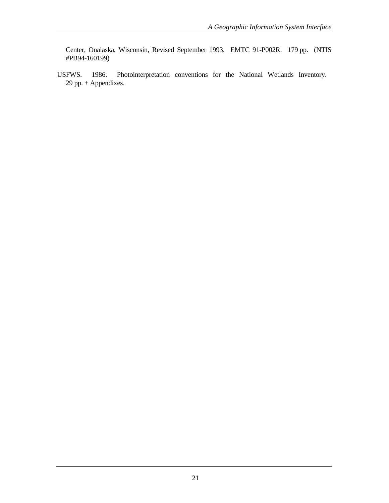Center, Onalaska, Wisconsin, Revised September 1993. EMTC 91-P002R. 179 pp. (NTIS #PB94-160199)

USFWS. 1986. Photointerpretation conventions for the National Wetlands Inventory. 29 pp. + Appendixes.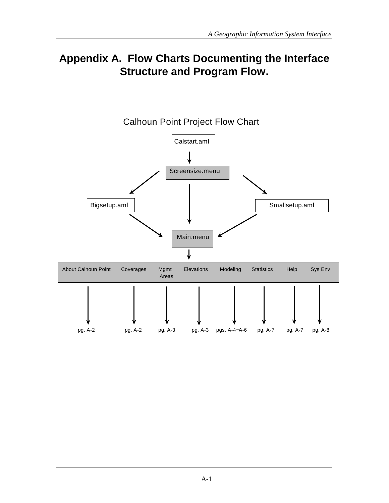# **Appendix A. Flow Charts Documenting the Interface Structure and Program Flow.**

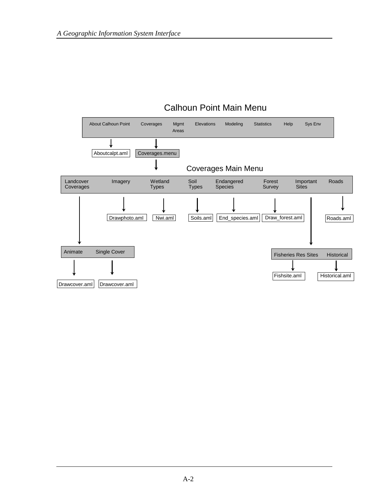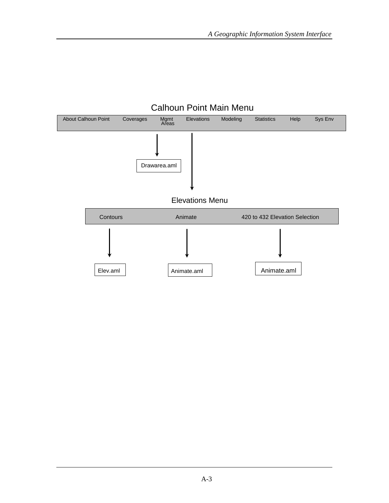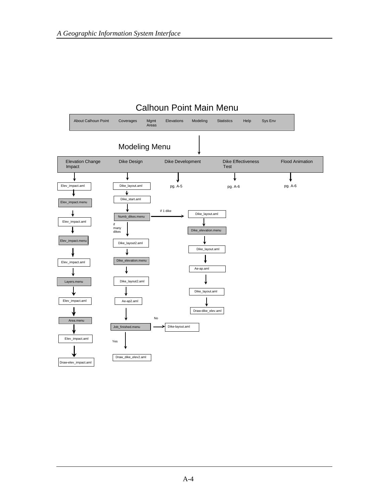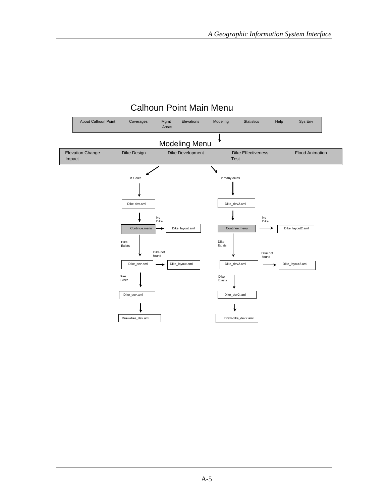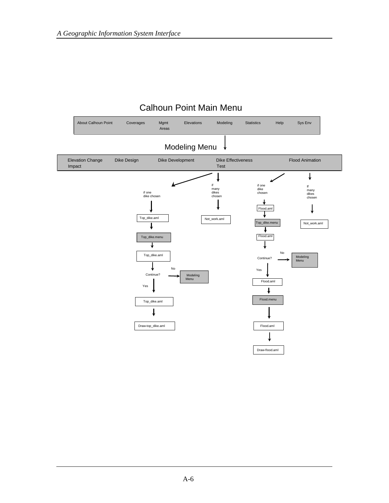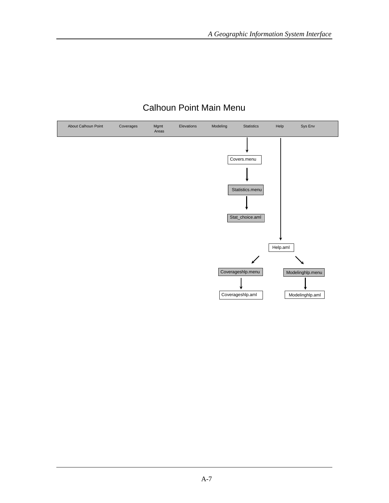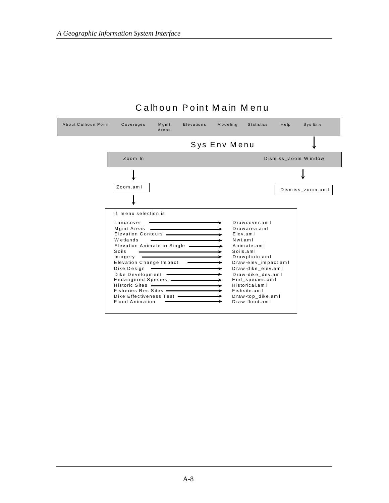| About Calhoun Point | Coverages                                                                                                                                                                                                                                                                                                                                                                                                                                                                  | Mqmt<br>Areas | Elevations | Modeling     | <b>Statistics</b>                                                                                                                                                                                                                                                 | Help | Sys Env             |
|---------------------|----------------------------------------------------------------------------------------------------------------------------------------------------------------------------------------------------------------------------------------------------------------------------------------------------------------------------------------------------------------------------------------------------------------------------------------------------------------------------|---------------|------------|--------------|-------------------------------------------------------------------------------------------------------------------------------------------------------------------------------------------------------------------------------------------------------------------|------|---------------------|
|                     |                                                                                                                                                                                                                                                                                                                                                                                                                                                                            |               |            | Sys Env Menu |                                                                                                                                                                                                                                                                   |      |                     |
|                     | Zoom In                                                                                                                                                                                                                                                                                                                                                                                                                                                                    |               |            |              |                                                                                                                                                                                                                                                                   |      | Dismiss_Zoom Window |
|                     |                                                                                                                                                                                                                                                                                                                                                                                                                                                                            |               |            |              |                                                                                                                                                                                                                                                                   |      |                     |
|                     | Zoom.aml                                                                                                                                                                                                                                                                                                                                                                                                                                                                   |               |            |              |                                                                                                                                                                                                                                                                   |      | Dismiss_zoom.aml    |
|                     |                                                                                                                                                                                                                                                                                                                                                                                                                                                                            |               |            |              |                                                                                                                                                                                                                                                                   |      |                     |
|                     | if menu selection is<br>Landcover<br>Mgmt Areas <b>expressions</b><br>Elevation Contours <b>Continuing Continuing Continuing Continuing Continuing Contracts</b><br>Wetlands<br>Elevation Animate or Single -<br>Soils<br>lmagery<br>Elevation Change Impact<br>Dike Design - The Contract of the Discount of the Discount of the Discount of the Discount of the Discount of<br>Dike Development -<br>Fisheries Res Sites -<br>Dike Effectiveness Test<br>Flood Animation |               |            |              | Drawcover.aml<br>Drawarea.aml<br>Elev.aml<br>Nwi.aml<br>Animate.aml<br>Soils am I<br>Drawphoto.aml<br>Draw-elev_impact.aml<br>Draw-dike elev.aml<br>Draw-dike dev.aml<br>End species.aml<br>Historical.aml<br>Fishsite.aml<br>Draw-top dike.aml<br>Draw-flood.aml |      |                     |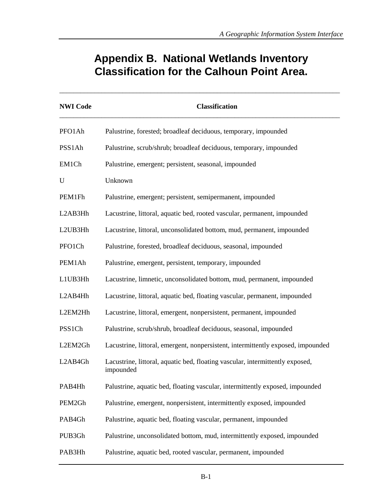# **Appendix B. National Wetlands Inventory Classification for the Calhoun Point Area.**

\_\_\_\_\_\_\_\_\_\_\_\_\_\_\_\_\_\_\_\_\_\_\_\_\_\_\_\_\_\_\_\_\_\_\_\_\_\_\_\_\_\_\_\_\_\_\_\_\_\_\_\_\_\_\_\_\_\_\_\_\_\_\_\_\_\_\_\_\_\_\_\_\_\_\_\_\_\_\_\_

| <b>NWI Code</b> | <b>Classification</b>                                                                      |
|-----------------|--------------------------------------------------------------------------------------------|
| PFO1Ah          | Palustrine, forested; broadleaf deciduous, temporary, impounded                            |
| PSS1Ah          | Palustrine, scrub/shrub; broadleaf deciduous, temporary, impounded                         |
| EM1Ch           | Palustrine, emergent; persistent, seasonal, impounded                                      |
| U               | Unknown                                                                                    |
| PEM1Fh          | Palustrine, emergent; persistent, semipermanent, impounded                                 |
| L2AB3Hh         | Lacustrine, littoral, aquatic bed, rooted vascular, permanent, impounded                   |
| L2UB3Hh         | Lacustrine, littoral, unconsolidated bottom, mud, permanent, impounded                     |
| PFO1Ch          | Palustrine, forested, broadleaf deciduous, seasonal, impounded                             |
| PEM1Ah          | Palustrine, emergent, persistent, temporary, impounded                                     |
| L1UB3Hh         | Lacustrine, limnetic, unconsolidated bottom, mud, permanent, impounded                     |
| L2AB4Hh         | Lacustrine, littoral, aquatic bed, floating vascular, permanent, impounded                 |
| L2EM2Hh         | Lacustrine, littoral, emergent, nonpersistent, permanent, impounded                        |
| PSS1Ch          | Palustrine, scrub/shrub, broadleaf deciduous, seasonal, impounded                          |
| L2EM2Gh         | Lacustrine, littoral, emergent, nonpersistent, intermittently exposed, impounded           |
| L2AB4Gh         | Lacustrine, littoral, aquatic bed, floating vascular, intermittently exposed,<br>impounded |
| PAB4Hh          | Palustrine, aquatic bed, floating vascular, intermittently exposed, impounded              |
| PEM2Gh          | Palustrine, emergent, nonpersistent, intermittently exposed, impounded                     |
| PAB4Gh          | Palustrine, aquatic bed, floating vascular, permanent, impounded                           |
| PUB3Gh          | Palustrine, unconsolidated bottom, mud, intermittently exposed, impounded                  |
| PAB3Hh          | Palustrine, aquatic bed, rooted vascular, permanent, impounded                             |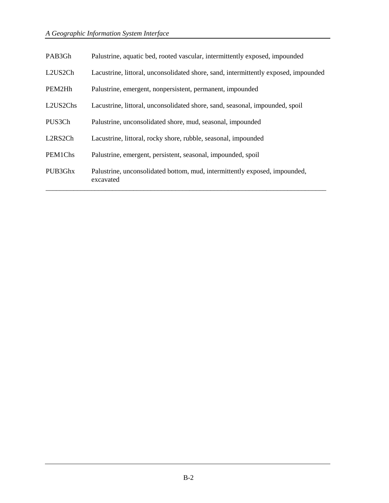| PAB3Gh                            | Palustrine, aquatic bed, rooted vascular, intermittently exposed, impounded             |
|-----------------------------------|-----------------------------------------------------------------------------------------|
| L2US2Ch                           | Lacustrine, littoral, unconsolidated shore, sand, intermittently exposed, impounded     |
| PEM2Hh                            | Palustrine, emergent, nonpersistent, permanent, impounded                               |
| L2US2Chs                          | Lacustrine, littoral, unconsolidated shore, sand, seasonal, impounded, spoil            |
| PUS3Ch                            | Palustrine, unconsolidated shore, mud, seasonal, impounded                              |
| L <sub>2</sub> RS <sub>2</sub> Ch | Lacustrine, littoral, rocky shore, rubble, seasonal, impounded                          |
| PEM1Chs                           | Palustrine, emergent, persistent, seasonal, impounded, spoil                            |
| PUB3Ghx                           | Palustrine, unconsolidated bottom, mud, intermittently exposed, impounded,<br>excavated |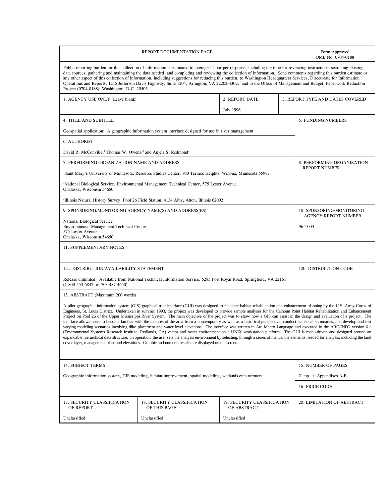| REPORT DOCUMENTATION PAGE                                                                                                                                                                                                                                                                                                                                                                                                                                                                                                                                                                                                                                                                                                                                                                                                                                                                                                                                                                                                                                                                                                                                                                                                                                                                                                                                                                         |                                             |                                            |         | Form Approved<br>OMB No. 0704-0188                       |
|---------------------------------------------------------------------------------------------------------------------------------------------------------------------------------------------------------------------------------------------------------------------------------------------------------------------------------------------------------------------------------------------------------------------------------------------------------------------------------------------------------------------------------------------------------------------------------------------------------------------------------------------------------------------------------------------------------------------------------------------------------------------------------------------------------------------------------------------------------------------------------------------------------------------------------------------------------------------------------------------------------------------------------------------------------------------------------------------------------------------------------------------------------------------------------------------------------------------------------------------------------------------------------------------------------------------------------------------------------------------------------------------------|---------------------------------------------|--------------------------------------------|---------|----------------------------------------------------------|
| Public reporting burden for this collection of information is estimated to average 1 hour per response, including the time for reviewing instructions, searching existing<br>data sources, gathering and maintaining the data needed, and completing and reviewing the collection of information. Send comments regarding this burden estimate or<br>any other aspect of this collection of information, including suggestions for reducing this burden, to Washington Headquarters Services, Directorate for Information<br>Operations and Reports, 1215 Jefferson Davis Highway, Suite 1204, Arlington, VA 22202-4302, and to the Office of Management and Budget, Paperwork Reduction<br>Project (0704-0188), Washington, D.C. 20503                                                                                                                                                                                                                                                                                                                                                                                                                                                                                                                                                                                                                                                           |                                             |                                            |         |                                                          |
| 1. AGENCY USE ONLY (Leave blank)                                                                                                                                                                                                                                                                                                                                                                                                                                                                                                                                                                                                                                                                                                                                                                                                                                                                                                                                                                                                                                                                                                                                                                                                                                                                                                                                                                  |                                             | 2. REPORT DATE                             |         | 3. REPORT TYPE AND DATES COVERED                         |
|                                                                                                                                                                                                                                                                                                                                                                                                                                                                                                                                                                                                                                                                                                                                                                                                                                                                                                                                                                                                                                                                                                                                                                                                                                                                                                                                                                                                   |                                             | <b>July 1996</b>                           |         |                                                          |
| <b>4. TITLE AND SUBTITLE</b>                                                                                                                                                                                                                                                                                                                                                                                                                                                                                                                                                                                                                                                                                                                                                                                                                                                                                                                                                                                                                                                                                                                                                                                                                                                                                                                                                                      |                                             |                                            |         | 5. FUNDING NUMBERS                                       |
| Geospatial application: A geographic information system interface designed for use in river management                                                                                                                                                                                                                                                                                                                                                                                                                                                                                                                                                                                                                                                                                                                                                                                                                                                                                                                                                                                                                                                                                                                                                                                                                                                                                            |                                             |                                            |         |                                                          |
| 6. AUTHOR(S)                                                                                                                                                                                                                                                                                                                                                                                                                                                                                                                                                                                                                                                                                                                                                                                                                                                                                                                                                                                                                                                                                                                                                                                                                                                                                                                                                                                      |                                             |                                            |         |                                                          |
| David R. McConville, <sup>1</sup> Thomas W. Owens, <sup>2</sup> and Anjela S. Redmond <sup>3</sup>                                                                                                                                                                                                                                                                                                                                                                                                                                                                                                                                                                                                                                                                                                                                                                                                                                                                                                                                                                                                                                                                                                                                                                                                                                                                                                |                                             |                                            |         |                                                          |
| 7. PERFORMING ORGANIZATION NAME AND ADDRESS                                                                                                                                                                                                                                                                                                                                                                                                                                                                                                                                                                                                                                                                                                                                                                                                                                                                                                                                                                                                                                                                                                                                                                                                                                                                                                                                                       |                                             |                                            |         | 8. PERFORMING ORGANIZATION                               |
| Saint Mary's University of Minnesota, Resource Studies Center, 700 Terrace Heights, Winona, Minnesota 55987                                                                                                                                                                                                                                                                                                                                                                                                                                                                                                                                                                                                                                                                                                                                                                                                                                                                                                                                                                                                                                                                                                                                                                                                                                                                                       |                                             |                                            |         | <b>REPORT NUMBER</b>                                     |
| <sup>2</sup> National Biological Service, Environmental Management Technical Center, 575 Lester Avenue<br>Onalaska, Wisconsin 54650                                                                                                                                                                                                                                                                                                                                                                                                                                                                                                                                                                                                                                                                                                                                                                                                                                                                                                                                                                                                                                                                                                                                                                                                                                                               |                                             |                                            |         |                                                          |
| <sup>3</sup> Illinois Natural History Survey, Pool 26 Field Station, 4134 Alby, Alton, Illinois 62002                                                                                                                                                                                                                                                                                                                                                                                                                                                                                                                                                                                                                                                                                                                                                                                                                                                                                                                                                                                                                                                                                                                                                                                                                                                                                             |                                             |                                            |         |                                                          |
| 9. SPONSORING/MONITORING AGENCY NAME(S) AND ADDRESS(ES)                                                                                                                                                                                                                                                                                                                                                                                                                                                                                                                                                                                                                                                                                                                                                                                                                                                                                                                                                                                                                                                                                                                                                                                                                                                                                                                                           |                                             |                                            |         | 10. SPONSORING/MONITORING<br><b>AGENCY REPORT NUMBER</b> |
| National Biological Service<br>Environmental Management Technical Center<br>575 Lester Avenue<br>Onalaska, Wisconsin 54650                                                                                                                                                                                                                                                                                                                                                                                                                                                                                                                                                                                                                                                                                                                                                                                                                                                                                                                                                                                                                                                                                                                                                                                                                                                                        |                                             |                                            | 96-T003 |                                                          |
| 11. SUPPLEMENTARY NOTES                                                                                                                                                                                                                                                                                                                                                                                                                                                                                                                                                                                                                                                                                                                                                                                                                                                                                                                                                                                                                                                                                                                                                                                                                                                                                                                                                                           |                                             |                                            |         |                                                          |
|                                                                                                                                                                                                                                                                                                                                                                                                                                                                                                                                                                                                                                                                                                                                                                                                                                                                                                                                                                                                                                                                                                                                                                                                                                                                                                                                                                                                   |                                             |                                            |         |                                                          |
| 12a. DISTRIBUTION/AVAILABILITY STATEMENT                                                                                                                                                                                                                                                                                                                                                                                                                                                                                                                                                                                                                                                                                                                                                                                                                                                                                                                                                                                                                                                                                                                                                                                                                                                                                                                                                          |                                             |                                            |         | 12b. DISTRIBUTION CODE                                   |
| Release unlimited. Available from National Technical Information Service, 5285 Port Royal Road, Springfield, VA 22161<br>$(1-800-553-6847)$ or 703-487-4650)                                                                                                                                                                                                                                                                                                                                                                                                                                                                                                                                                                                                                                                                                                                                                                                                                                                                                                                                                                                                                                                                                                                                                                                                                                      |                                             |                                            |         |                                                          |
| 13. ABSTRACT (Maximum 200 words)                                                                                                                                                                                                                                                                                                                                                                                                                                                                                                                                                                                                                                                                                                                                                                                                                                                                                                                                                                                                                                                                                                                                                                                                                                                                                                                                                                  |                                             |                                            |         |                                                          |
| A pilot geographic information system (GIS) graphical user interface (GUI) was designed to facilitate habitat rehabilitation and enhancement planning by the U.S. Army Corps of<br>Engineers, St. Louis District. Undertaken in summer 1993, the project was developed to provide sample analyses for the Calhoun Point Habitat Rehabilitation and Enhancement<br>Project on Pool 26 of the Upper Mississippi River System. The main objective of the project was to show how a GIS can assist in the design and evaluation of a project. The<br>interface allows users to become familiar with the features of the area from a contemporary as well as a historical perspective, conduct statistical summaries, and develop and test<br>varying modeling scenarios involving dike placement and water level elevations. The interface was written in Arc Macro Language and executed in the ARC/INFO version 6.1<br>(Environmental Systems Research Institute, Redlands, CA) vector and raster environment on a UNIX workstation platform. The GUI is menu-driven and designed around an<br>expandable hierarchical data structure. In operation, the user sets the analysis environment by selecting, through a series of menus, the elements needed for analysis, including the land<br>cover layer, management plan, and elevations. Graphic and numeric results are displayed on the screen. |                                             |                                            |         |                                                          |
| 14. SUBJECT TERMS                                                                                                                                                                                                                                                                                                                                                                                                                                                                                                                                                                                                                                                                                                                                                                                                                                                                                                                                                                                                                                                                                                                                                                                                                                                                                                                                                                                 |                                             |                                            |         | 15. NUMBER OF PAGES                                      |
| Geographic information system, GIS modeling, habitat improvement, spatial modeling, wetlands enhancement                                                                                                                                                                                                                                                                                                                                                                                                                                                                                                                                                                                                                                                                                                                                                                                                                                                                                                                                                                                                                                                                                                                                                                                                                                                                                          |                                             |                                            |         | 21 pp. + Appendixes A-B                                  |
|                                                                                                                                                                                                                                                                                                                                                                                                                                                                                                                                                                                                                                                                                                                                                                                                                                                                                                                                                                                                                                                                                                                                                                                                                                                                                                                                                                                                   |                                             |                                            |         | 16. PRICE CODE                                           |
| 17. SECURITY CLASSIFICATION<br>OF REPORT                                                                                                                                                                                                                                                                                                                                                                                                                                                                                                                                                                                                                                                                                                                                                                                                                                                                                                                                                                                                                                                                                                                                                                                                                                                                                                                                                          | 18. SECURITY CLASSIFICATION<br>OF THIS PAGE | 19. SECURITY CLASSIFICATION<br>OF ABSTRACT |         | 20. LIMITATION OF ABSTRACT                               |
| Unclassified                                                                                                                                                                                                                                                                                                                                                                                                                                                                                                                                                                                                                                                                                                                                                                                                                                                                                                                                                                                                                                                                                                                                                                                                                                                                                                                                                                                      | Unclassified                                | Unclassified                               |         |                                                          |